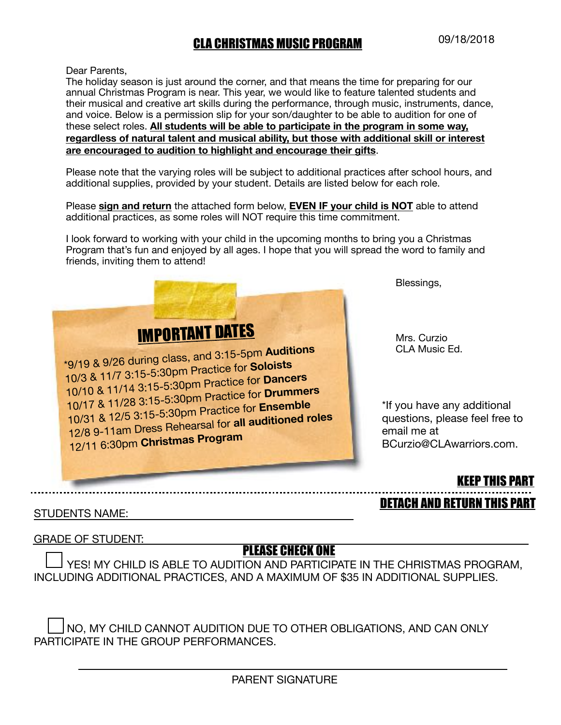# CLA CHRISTMAS MUSIC PROGRAM

Dear Parents,

The holiday season is just around the corner, and that means the time for preparing for our annual Christmas Program is near. This year, we would like to feature talented students and their musical and creative art skills during the performance, through music, instruments, dance, and voice. Below is a permission slip for your son/daughter to be able to audition for one of these select roles. **All students will be able to participate in the program in some way, regardless of natural talent and musical ability, but those with additional skill or interest are encouraged to audition to highlight and encourage their gifts**.

Please note that the varying roles will be subject to additional practices after school hours, and additional supplies, provided by your student. Details are listed below for each role.

Please **sign and return** the attached form below, **EVEN IF your child is NOT** able to attend additional practices, as some roles will NOT require this time commitment.

I look forward to working with your child in the upcoming months to bring you a Christmas Program that's fun and enjoyed by all ages. I hope that you will spread the word to family and friends, inviting them to attend!

**IMPORTANT DATES** Mrs. Curzio \*9/19 & 9/26 during class, and 3:15-5pm **Auditions** 10/3 & 11/7 3:15-5:30pm Practice for **Soloists**  10/10 & 11/14 3:15-5:30pm Practice for **Dancers**  10/17 & 11/28 3:15-5:30pm Practice for **Drummers**  10/31 & 12/5 3:15-5:30pm Practice for **Ensemble**  12/8 9-11am Dress Rehearsal for **all auditioned roles** 12/11 6:30pm **Christmas Program**

 Blessings,

CLA Music Ed.

\*If you have any additional questions, please feel free to email me at BCurzio@CLAwarriors.com.

### KEEP THIS PART

DETACH AND RETURN THIS PART

#### STUDENTS NAME:

GRADE OF STUDENT:

## PLEASE CHECK ONE

YES! MY CHILD IS ABLE TO AUDITION AND PARTICIPATE IN THE CHRISTMAS PROGRAM, INCLUDING ADDITIONAL PRACTICES, AND A MAXIMUM OF \$35 IN ADDITIONAL SUPPLIES.

 $\Box$ NO, MY CHILD CANNOT AUDITION DUE TO OTHER OBLIGATIONS, AND CAN ONLY PARTICIPATE IN THE GROUP PERFORMANCES.